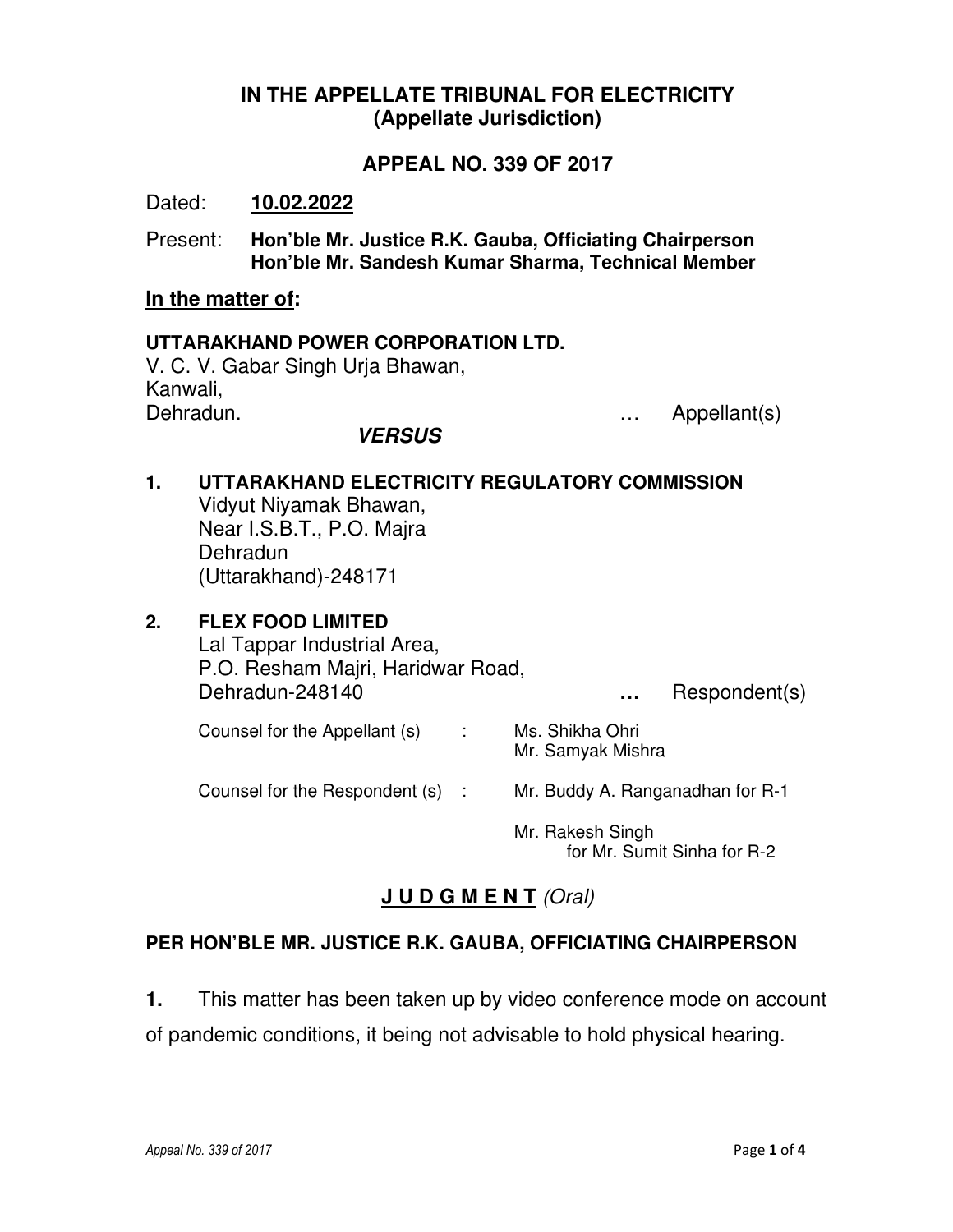## **IN THE APPELLATE TRIBUNAL FOR ELECTRICITY (Appellate Jurisdiction)**

### **APPEAL NO. 339 OF 2017**

Dated: **10.02.2022**

Present: **Hon'ble Mr. Justice R.K. Gauba, Officiating Chairperson Hon'ble Mr. Sandesh Kumar Sharma, Technical Member** 

#### **In the matter of:**

### **UTTARAKHAND POWER CORPORATION LTD.**  V. C. V. Gabar Singh Urja Bhawan, Kanwali, Dehradun. … Appellant(s) **VERSUS**

#### **1. UTTARAKHAND ELECTRICITY REGULATORY COMMISSION**  Vidyut Niyamak Bhawan, Near I.S.B.T., P.O. Majra

Dehradun (Uttarakhand)-248171

# **2. FLEX FOOD LIMITED**

Lal Tappar Industrial Area, P.O. Resham Majri, Haridwar Road, Dehradun-248140 **…** Respondent(s) Counsel for the Appellant (s) : Ms. Shikha Ohri Mr. Samyak Mishra

Counsel for the Respondent (s) : Mr. Buddy A. Ranganadhan for R-1

 Mr. Rakesh Singh for Mr. Sumit Sinha for R-2

# **J U D G M E N T** *(Oral)*

## **PER HON'BLE MR. JUSTICE R.K. GAUBA, OFFICIATING CHAIRPERSON**

**1.** This matter has been taken up by video conference mode on account of pandemic conditions, it being not advisable to hold physical hearing.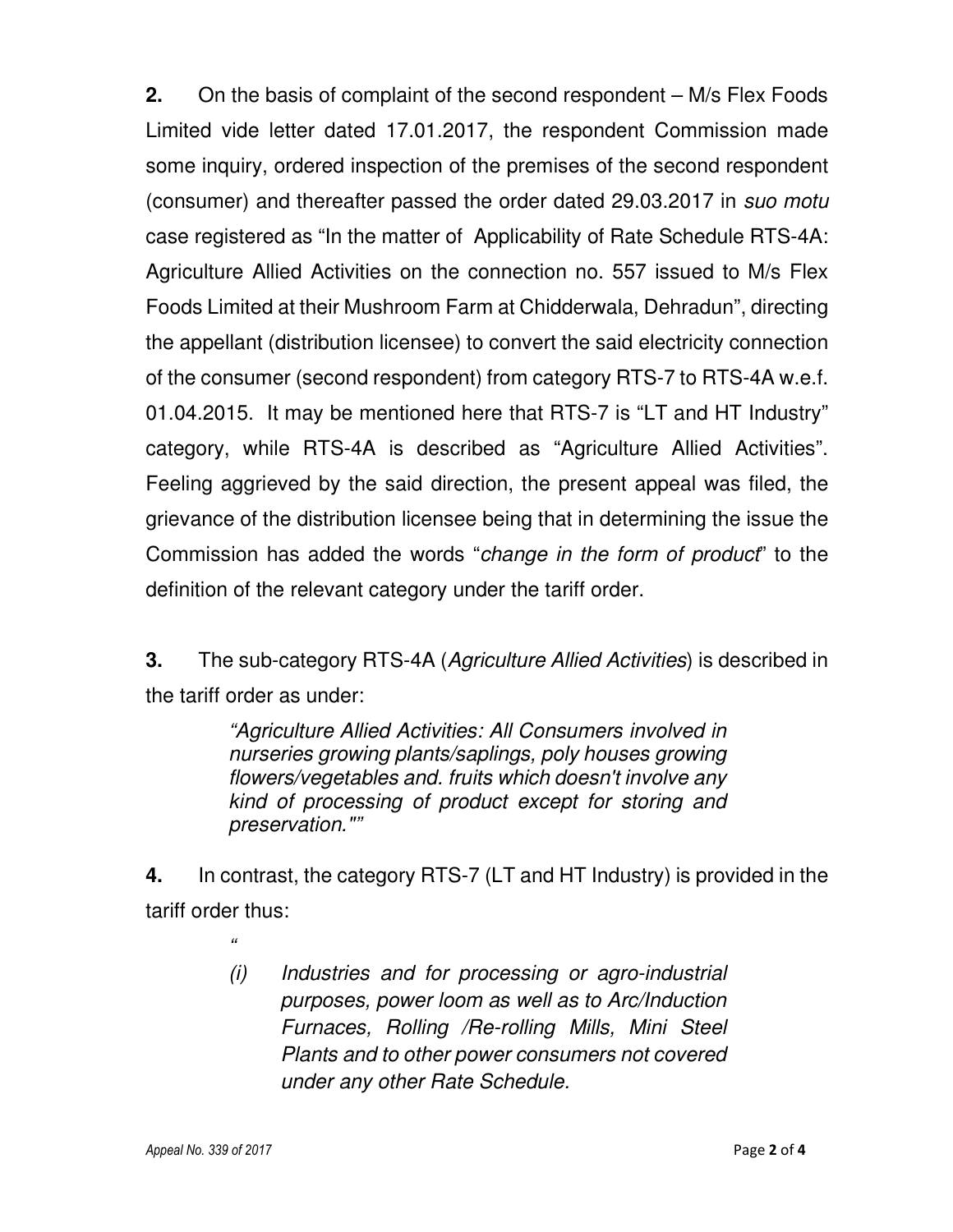**2.** On the basis of complaint of the second respondent – M/s Flex Foods Limited vide letter dated 17.01.2017, the respondent Commission made some inquiry, ordered inspection of the premises of the second respondent (consumer) and thereafter passed the order dated 29.03.2017 in *suo motu* case registered as "In the matter of Applicability of Rate Schedule RTS-4A: Agriculture Allied Activities on the connection no. 557 issued to M/s Flex Foods Limited at their Mushroom Farm at Chidderwala, Dehradun", directing the appellant (distribution licensee) to convert the said electricity connection of the consumer (second respondent) from category RTS-7 to RTS-4A w.e.f. 01.04.2015. It may be mentioned here that RTS-7 is "LT and HT Industry" category, while RTS-4A is described as "Agriculture Allied Activities". Feeling aggrieved by the said direction, the present appeal was filed, the grievance of the distribution licensee being that in determining the issue the Commission has added the words "*change in the form of product*" to the definition of the relevant category under the tariff order.

**3.** The sub-category RTS-4A (*Agriculture Allied Activities*) is described in the tariff order as under:

> *"Agriculture Allied Activities: All Consumers involved in nurseries growing plants/saplings, poly houses growing flowers/vegetables and. fruits which doesn't involve any kind of processing of product except for storing and preservation.""*

**4.** In contrast, the category RTS-7 (LT and HT Industry) is provided in the tariff order thus:

> *(i) Industries and for processing or agro-industrial purposes, power loom as well as to Arc/Induction Furnaces, Rolling /Re-rolling Mills, Mini Steel Plants and to other power consumers not covered under any other Rate Schedule.*

*"*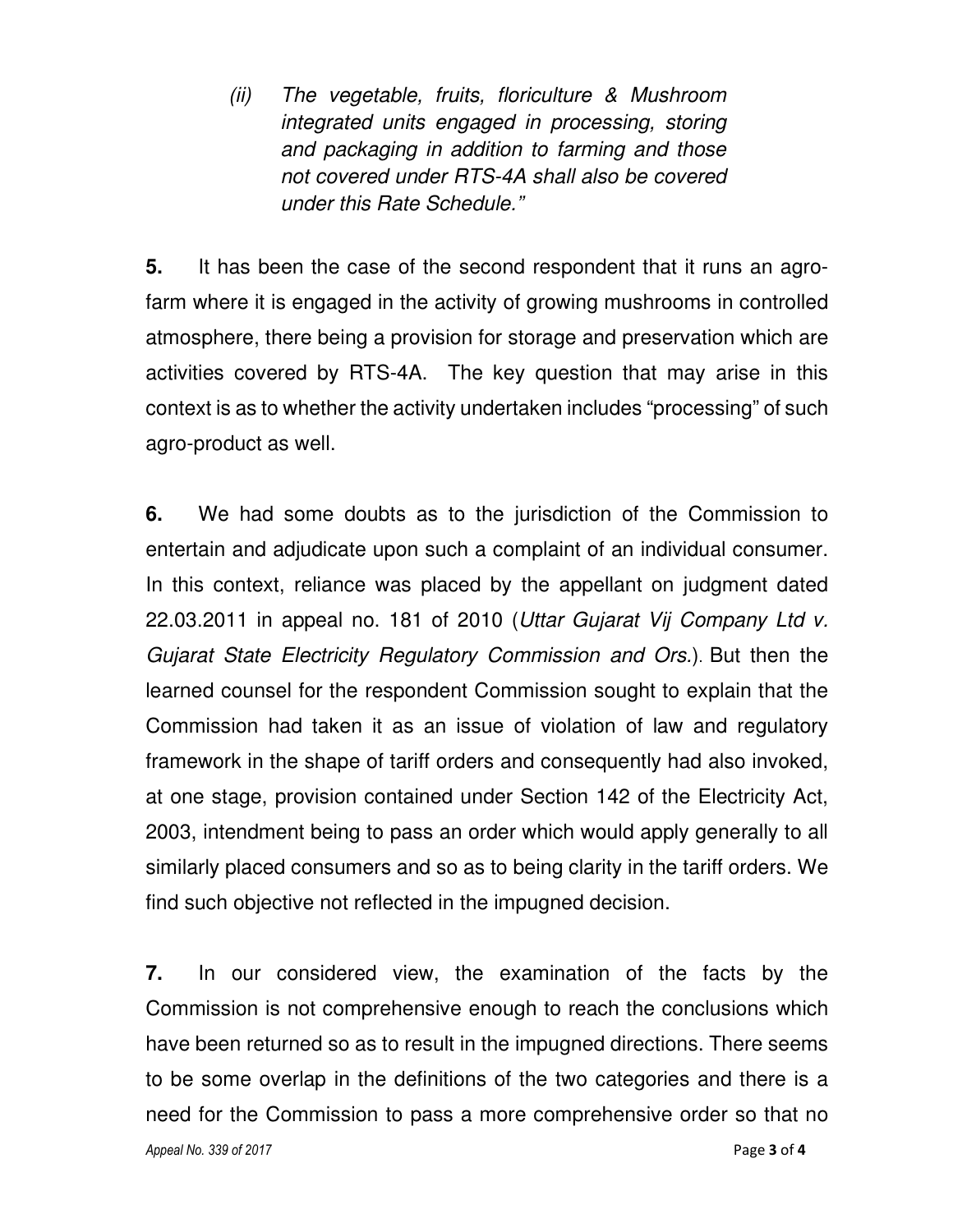*(ii) The vegetable, fruits, floriculture & Mushroom integrated units engaged in processing, storing and packaging in addition to farming and those not covered under RTS-4A shall also be covered under this Rate Schedule."* 

**5.** It has been the case of the second respondent that it runs an agrofarm where it is engaged in the activity of growing mushrooms in controlled atmosphere, there being a provision for storage and preservation which are activities covered by RTS-4A. The key question that may arise in this context is as to whether the activity undertaken includes "processing" of such agro-product as well.

**6.** We had some doubts as to the jurisdiction of the Commission to entertain and adjudicate upon such a complaint of an individual consumer. In this context, reliance was placed by the appellant on judgment dated 22.03.2011 in appeal no. 181 of 2010 (*Uttar Gujarat Vij Company Ltd v. Gujarat State Electricity Regulatory Commission and Ors.*). But then the learned counsel for the respondent Commission sought to explain that the Commission had taken it as an issue of violation of law and regulatory framework in the shape of tariff orders and consequently had also invoked, at one stage, provision contained under Section 142 of the Electricity Act, 2003, intendment being to pass an order which would apply generally to all similarly placed consumers and so as to being clarity in the tariff orders. We find such objective not reflected in the impugned decision.

*Appeal No. 339 of 2017* Page **3** of **4 7.** In our considered view, the examination of the facts by the Commission is not comprehensive enough to reach the conclusions which have been returned so as to result in the impugned directions. There seems to be some overlap in the definitions of the two categories and there is a need for the Commission to pass a more comprehensive order so that no